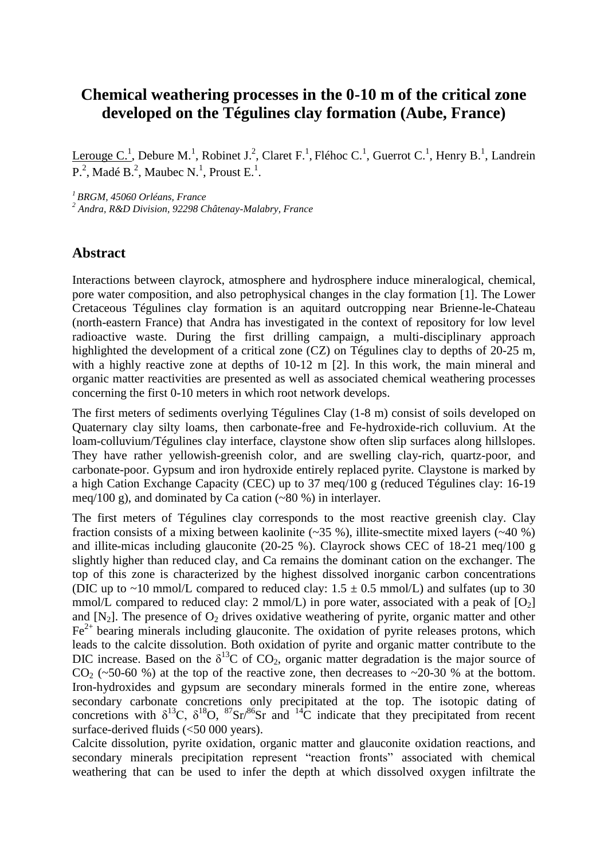## **Chemical weathering processes in the 0-10 m of the critical zone developed on the Tégulines clay formation (Aube, France)**

Lerouge C.<sup>1</sup>, Debure M.<sup>1</sup>, Robinet J.<sup>2</sup>, Claret F.<sup>1</sup>, Fléhoc C.<sup>1</sup>, Guerrot C.<sup>1</sup>, Henry B.<sup>1</sup>, Landrein  $P^2$ , Madé B.<sup>2</sup>, Maubec N.<sup>1</sup>, Proust E.<sup>1</sup>.

*<sup>1</sup> BRGM, 45060 Orléans, France* 

*<sup>2</sup> Andra, R&D Division, 92298 Châtenay-Malabry, France* 

## **Abstract**

Interactions between clayrock, atmosphere and hydrosphere induce mineralogical, chemical, pore water composition, and also petrophysical changes in the clay formation [1]. The Lower Cretaceous Tégulines clay formation is an aquitard outcropping near Brienne-le-Chateau (north-eastern France) that Andra has investigated in the context of repository for low level radioactive waste. During the first drilling campaign, a multi-disciplinary approach highlighted the development of a critical zone (CZ) on Tégulines clay to depths of 20-25 m, with a highly reactive zone at depths of 10-12 m [2]. In this work, the main mineral and organic matter reactivities are presented as well as associated chemical weathering processes concerning the first 0-10 meters in which root network develops.

The first meters of sediments overlying Tégulines Clay (1-8 m) consist of soils developed on Quaternary clay silty loams, then carbonate-free and Fe-hydroxide-rich colluvium. At the loam-colluvium/Tégulines clay interface, claystone show often slip surfaces along hillslopes. They have rather yellowish-greenish color, and are swelling clay-rich, quartz-poor, and carbonate-poor. Gypsum and iron hydroxide entirely replaced pyrite. Claystone is marked by a high Cation Exchange Capacity (CEC) up to 37 meq/100 g (reduced Tégulines clay: 16-19 meq/100 g), and dominated by Ca cation (~80 %) in interlayer.

The first meters of Tégulines clay corresponds to the most reactive greenish clay. Clay fraction consists of a mixing between kaolinite  $(-35\%)$ , illite-smectite mixed layers  $(-40\%)$ and illite-micas including glauconite (20-25 %). Clayrock shows CEC of 18-21 meq/100 g slightly higher than reduced clay, and Ca remains the dominant cation on the exchanger. The top of this zone is characterized by the highest dissolved inorganic carbon concentrations (DIC up to ~10 mmol/L compared to reduced clay:  $1.5 \pm 0.5$  mmol/L) and sulfates (up to 30 mmol/L compared to reduced clay: 2 mmol/L) in pore water, associated with a peak of  $[O_2]$ and  $[N_2]$ . The presence of  $O_2$  drives oxidative weathering of pyrite, organic matter and other  $Fe<sup>2+</sup>$  bearing minerals including glauconite. The oxidation of pyrite releases protons, which leads to the calcite dissolution. Both oxidation of pyrite and organic matter contribute to the DIC increase. Based on the  $\delta^{13}$ C of CO<sub>2</sub>, organic matter degradation is the major source of  $CO<sub>2</sub>$  (~50-60 %) at the top of the reactive zone, then decreases to ~20-30 % at the bottom. Iron-hydroxides and gypsum are secondary minerals formed in the entire zone, whereas secondary carbonate concretions only precipitated at the top. The isotopic dating of concretions with  $\delta^{13}C$ ,  $\delta^{18}O$ ,  ${}^{87}Sr/{}^{86}Sr$  and  ${}^{14}C$  indicate that they precipitated from recent surface-derived fluids (<50 000 years).

Calcite dissolution, pyrite oxidation, organic matter and glauconite oxidation reactions, and secondary minerals precipitation represent "reaction fronts" associated with chemical weathering that can be used to infer the depth at which dissolved oxygen infiltrate the